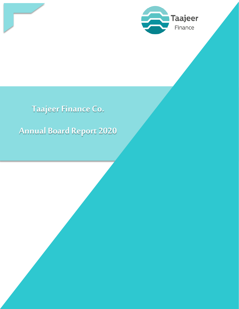

**Taajeer Finance Co.** 

**Annual Board Report 2020**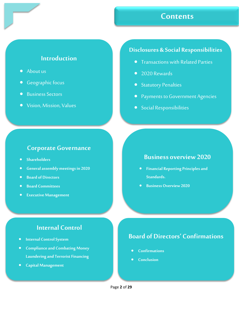## **Contents**

### **Introduction**

- About us
- Geographic focus
- Business Sectors
- Vision, Mission, Values

#### **Disclosures & Social Responsibilities**

- Transactions with Related Parties
- 2020 Rewards
- **•** Statutory Penalties
- **Payments to Government Agencies**
- Social Responsibilities

#### **Corporate Governance**

- **Shareholders**
- **General assembly meetings in 2020**
- **Board of Directors**
- **Board Committees**
- **Executive Management**

#### **Business overview 2020**

- **Financial Reporting Principles and Standards.**
- **Business Overview 2020**

## **Internal Control**

- **Internal Control System**
- **Compliance and Combating Money Laundering and Terrorist Financing**
- **Capital Management**

### **Board of Directors' Confirmations**

- **Confirmations**
- **Conclusion**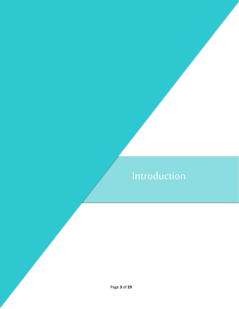# Introduction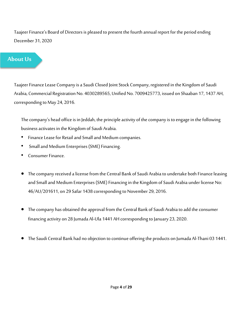Taajeer Finance's Board of Directors is pleased to present the fourth annual report for the period ending December 31, 2020

## About Us

Taajeer Finance Lease Company is a Saudi Closed Joint Stock Company, registered in the Kingdom of Saudi Arabia, Commercial Registration No. 4030289565, Unified No. 7009425773, issued on Shaaban 17, 1437 AH, corresponding to May 24, 2016.

The company's head office is in Jeddah, the principle activity of the company is to engage in the following business activates in the Kingdom of Saudi Arabia.

- Finance Lease for Retail and Small and Medium companies.
- Small and Medium Enterprises (SME) Financing.
- Consumer Finance.
- The company received a license from the Central Bank of Saudi Arabia to undertake both Finance leasing and Small and Medium Enterprises (SME) Financing in the Kingdom of Saudi Arabia under license No: 46/AU/201611, on 29 Safar 1438 corresponding to November 29, 2016.
- The company has obtained the approval from the Central Bank of Saudi Arabia to add the consumer financing activity on 28 Jumada Al-Ula 1441 AH corresponding to January 23, 2020.
- The Saudi Central Bank had no objection to continue offering the products on Jumada Al-Thani 03 1441.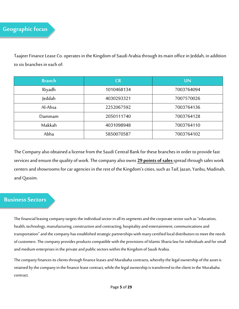Taajeer Finance Lease Co. operates in the Kingdom of Saudi Arabia through its main office in Jeddah, in addition to six branches in each of:

| <b>Branch</b> | <b>CR</b>  | <b>UN</b>  |
|---------------|------------|------------|
| Riyadh        | 1010468134 | 7003764094 |
| Jeddah        | 4030293321 | 7007570026 |
| Al-Ahsa       | 2252067592 | 7003764136 |
| Dammam        | 2050111740 | 7003764128 |
| Makkah        | 4031098948 | 7003764110 |
| Abha          | 5850070587 | 7003764102 |

The Company also obtained a license from the Saudi Central Bank for these branches in order to provide fast services and ensure the quality of work. The company also owns **29 points of sales** spread through sales work centers and showrooms for car agencies in the rest of the Kingdom's cities, such as Taif, Jazan, Yanbu, Madinah, and Qassim.

#### **Business Sectors**

The financial leasing company targets the individual sector in all its segments and the corporate sector such as "education, health, technology, manufacturing, construction and contracting, hospitality and entertainment, communications and transportation" and the company has established strategic partnerships with many certified local distributors to meet the needs of customers. The company provides products compatible with the provisions of Islamic Sharia law for individuals and for small and medium enterprises in the private and public sectors within the Kingdom of Saudi Arabia.

The company finances its clients through finance leases and Murabaha contracts, whereby the legal ownership of the asset is retained by the company in the finance lease contract, while the legal ownership is transferred to the client in the Murabaha contract.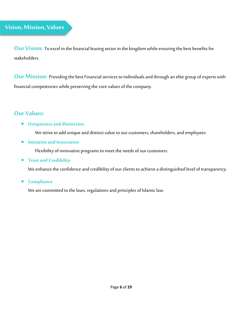**Our Vision**: To excel in the financial leasing sector in the kingdom while ensuring the best benefits for stakeholders.

**Our Mission:** Providing the best Financial services to individuals and through an elite group of experts with financial competencies while preserving the core values of the company.

#### **Our Values:**

#### • **Uniqueness and distinction**

We strive to add unique and distinct value to our customers, shareholders, and employees

• **Initiative and Innovation** 

Flexibility of innovative programs to meet the needs of our customers.

• **Trust and Credibility** 

We enhance the confidence and credibility of our clients to achieve a distinguished level of transparency.

• **Compliance** 

We are committed to the laws, regulations and principles of Islamic law.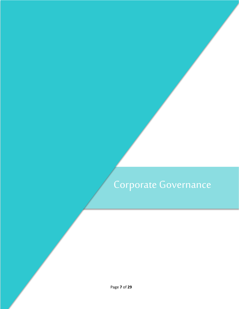# Corporate Governance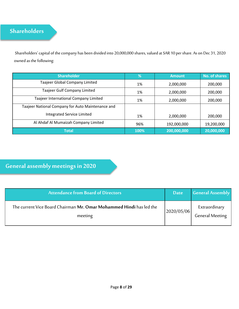## **Shareholders**

Shareholders' capital of the company has been divided into 20,000,000 shares, valued at SAR 10 per share. As on Dec 31, 2020 owned as the following:

| <b>Shareholder</b>                                | %    | <b>Amount</b> | No. of shares |
|---------------------------------------------------|------|---------------|---------------|
| Taajeer Global Company Limited                    | 1%   | 2,000,000     | 200,000       |
| Taajeer Gulf Company Limited                      | 1%   | 2,000,000     | 200,000       |
| Taajeer International Company Limited             | 1%   | 2,000,000     | 200,000       |
| Taajeer National Company for Auto Maintenance and |      |               |               |
| Integrated Service Limited                        | 1%   | 2,000,000     | 200,000       |
| Al Ahdaf Al Mumaizah Company Limited              | 96%  | 192,000,000   | 19,200,000    |
| <b>Total</b>                                      | 100% | 200,000,000   | 20,000,000    |

## **General assembly meetings in 2020**

| <b>Attendance from Board of Directors</b>                                      | <b>Date</b> | <b>General Assembly</b>                 |
|--------------------------------------------------------------------------------|-------------|-----------------------------------------|
| The current Vice Board Chairman Mr. Omar Mohammed Hindi has led the<br>meeting | 2020/05/06  | Extraordinary<br><b>General Meeting</b> |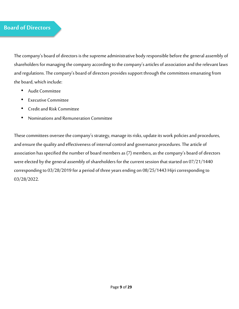#### **Board of Directors**

The company's board of directors is the supreme administrative body responsible before the general assembly of shareholders for managing the company according to the company's articles of association and the relevant laws and regulations. The company's board of directors provides support through the committees emanating from the board, which include:

- Audit Committee
- **Executive Committee**
- Credit and Risk Committee
- Nominations and Remuneration Committee

These committees oversee the company's strategy, manage its risks, update its work policies and procedures, and ensure the quality and effectiveness of internal control and governance procedures. The article of association has specified the number of board members as (7) members, as the company's board of directors were elected by the general assembly of shareholders for the current session that started on 07/21/1440 corresponding to 03/28/2019 for a period of three years ending on 08/25/1443 Hijri corresponding to 03/28/2022.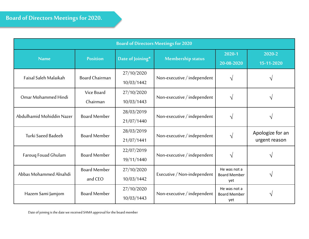| <b>Board of Directors Meetings for 2020</b> |                                |                          |                             |                                            |                                   |
|---------------------------------------------|--------------------------------|--------------------------|-----------------------------|--------------------------------------------|-----------------------------------|
| <b>Name</b>                                 | <b>Position</b>                | Date of Joining*         | <b>Membership status</b>    | 2020-1<br>20-08-2020                       | 2020-2<br>15-11-2020              |
| Faisal Saleh Malaikah                       | <b>Board Chairman</b>          | 27/10/2020<br>10/03/1442 | Non-executive / independent | $\sqrt{ }$                                 | V                                 |
| Omar Mohammed Hindi                         | Vice Board<br>Chairman         | 27/10/2020<br>10/03/1443 | Non-executive / independent | $\mathcal{N}$                              | V                                 |
| Abdulhamid Mohiddin Nazer                   | <b>Board Member</b>            | 28/03/2019<br>21/07/1440 | Non-executive / independent | $\sqrt{ }$                                 | $\sqrt{ }$                        |
| Turki Saeed Badeeb                          | <b>Board Member</b>            | 28/03/2019<br>21/07/1441 | Non-executive / independent | $\mathcal{N}$                              | Apologize for an<br>urgent reason |
| Farouq Fouad Ghulam                         | <b>Board Member</b>            | 22/07/2019<br>19/11/1440 | Non-executive / independent | $\sqrt{ }$                                 |                                   |
| Abbas Mohammed Alnahdi                      | <b>Board Member</b><br>and CEO | 27/10/2020<br>10/03/1442 | Executive / Non-independent | He was not a<br><b>Board Member</b><br>yet | $\mathbf{\hat{v}}$                |
| Hazem Sami Jamjom                           | <b>Board Member</b>            | 27/10/2020<br>10/03/1443 | Non-executive / independent | He was not a<br><b>Board Member</b><br>yet | V                                 |

Date of joining is the date we received SAMA approval for the board member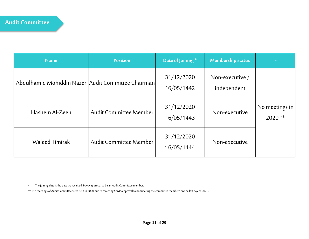| <b>Name</b>                                        | <b>Position</b>               | Date of Joining*         | <b>Membership status</b>         |                            |
|----------------------------------------------------|-------------------------------|--------------------------|----------------------------------|----------------------------|
| Abdulhamid Mohiddin Nazer Audit Committee Chairman |                               | 31/12/2020<br>16/05/1442 | Non-executive $/$<br>independent |                            |
| Hashem Al-Zeen                                     | <b>Audit Committee Member</b> | 31/12/2020<br>16/05/1443 | Non-executive                    | No meetings in<br>$2020**$ |
| <b>Waleed Timirak</b>                              | <b>Audit Committee Member</b> | 31/12/2020<br>16/05/1444 | Non-executive                    |                            |

• The joining date is the date we received SAMA approval to be an Audit Committee member.

\*\* No meetings of Audit Committee were held in 2020 due to receiving SAMA approval to nominating the committee members on the last day of 2020.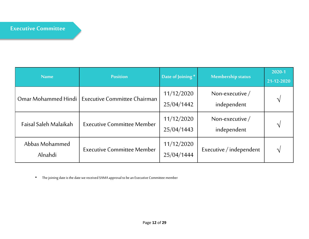| <b>Name</b>               | <b>Position</b>                     | Date of Joining*         | <b>Membership status</b>         | 2020-1<br>21-12-2020 |
|---------------------------|-------------------------------------|--------------------------|----------------------------------|----------------------|
| Omar Mohammed Hindi       | <b>Executive Committee Chairman</b> | 11/12/2020<br>25/04/1442 | Non-executive $/$<br>independent | ٦                    |
| Faisal Saleh Malaikah     | <b>Executive Committee Member</b>   | 11/12/2020<br>25/04/1443 | Non-executive $/$<br>independent | ᄾ                    |
| Abbas Mohammed<br>Alnahdi | <b>Executive Committee Member</b>   | 11/12/2020<br>25/04/1444 | Executive / independent          | ᄾ                    |

• The joining date is the date we received SAMA approval to be an Executive Committee member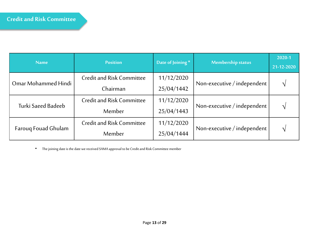| <b>Name</b>                | <b>Position</b>                  | Date of Joining* | <b>Membership status</b>    | 2020-1<br>21-12-2020 |
|----------------------------|----------------------------------|------------------|-----------------------------|----------------------|
|                            | <b>Credit and Risk Committee</b> | 11/12/2020       |                             |                      |
| Omar Mohammed Hindi        | Chairman                         | 25/04/1442       | Non-executive / independent |                      |
| Turki Saeed Badeeb         | <b>Credit and Risk Committee</b> | 11/12/2020       | Non-executive / independent |                      |
|                            | Member                           | 25/04/1443       |                             |                      |
|                            | <b>Credit and Risk Committee</b> | 11/12/2020       | Non-executive / independent |                      |
| <b>Farouq Fouad Ghulam</b> | Member                           | 25/04/1444       |                             |                      |

• The joining date is the date we received SAMA approval to be Credit and Risk Committee member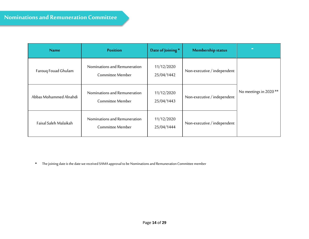| <b>Name</b>            | <b>Position</b>                                  | Date of Joining*         | <b>Membership status</b>    | $\mathbf{r}$                      |
|------------------------|--------------------------------------------------|--------------------------|-----------------------------|-----------------------------------|
| Farouq Fouad Ghulam    | Nominations and Remuneration<br>Committee Member | 11/12/2020<br>25/04/1442 | Non-executive / independent |                                   |
| Abbas Mohammed Alnahdi | Nominations and Remuneration<br>Committee Member | 11/12/2020<br>25/04/1443 | Non-executive / independent | No meetings in 2020 <sup>**</sup> |
| Faisal Saleh Malaikah  | Nominations and Remuneration<br>Committee Member | 11/12/2020<br>25/04/1444 | Non-executive / independent |                                   |

• The joining date is the date we received SAMA approval to be Nominations and Remuneration Committee member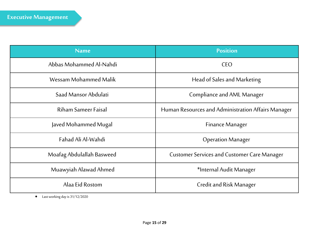| <b>Name</b>               | <b>Position</b>                                    |  |
|---------------------------|----------------------------------------------------|--|
| Abbas Mohammed Al-Nahdi   | CEO                                                |  |
| Wessam Mohammed Malik     | Head of Sales and Marketing                        |  |
| Saad Mansor Abdulati      | <b>Compliance and AML Manager</b>                  |  |
| Riham Sameer Faisal       | Human Resources and Administration Affairs Manager |  |
| Javed Mohammed Mugal      | <b>Finance Manager</b>                             |  |
| Fahad Ali Al-Wahdi        | <b>Operation Manager</b>                           |  |
| Moafag Abdulallah Basweed | <b>Customer Services and Customer Care Manager</b> |  |
| Muawyiah Alawad Ahmed     | *Internal Audit Manager                            |  |
| Alaa Eid Rostom           | Credit and Risk Manager                            |  |

• Last working day is 31/12/2020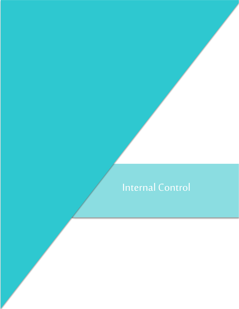# Internal Control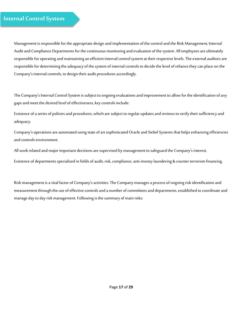### **Internal Control System**

Management is responsible for the appropriate design and implementation of the control and the Risk Management, Internal Audit and Compliance Departments for the continuous monitoring and evaluation of the system. All employees are ultimately responsible for operating and maintaining an efficient internal control system at their respective levels. The external auditors are responsible for determining the adequacy of the system of internal controls to decide the level of reliance they can place on the Company's internal controls, to design their audit procedures accordingly.

The Company's Internal Control System is subject to ongoing evaluations and improvement to allow for the identification of any gaps and meet the desired level of effectiveness, key controls include:

Existence of a series of policies and procedures, which are subject to regular updates and reviews to verify their sufficiency and adequacy.

Company's operations are automated using state of art sophisticated Oracle and Siebel Systems that helps enhancing efficiencies and controls environment.

All work related and major important decisions are supervised by management to safeguard the Company's interest.

Existence of departments specialized in fields of audit, risk, compliance, anti-money laundering & counter terrorism financing.

Risk management is a vital factor of Company's activities. The Company manages a process of ongoing risk identification and measurement through the use of effective controls and a number of committees and departments, established to coordinate and manage day to day risk management. Following is the summary of main risks: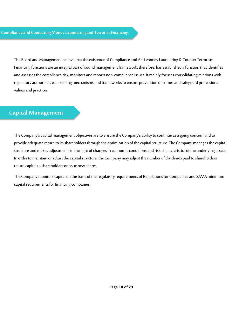The Board and Management believe that the existence of Compliance and Anti-Money Laundering & Counter Terrorism Financing functions are an integral part of sound management framework, therefore, has established a function that identifies and assesses the compliance risk, monitors and reports non-compliance issues. It mainly focuses consolidating relations with regulatory authorities, establishing mechanisms and frameworks to ensure prevention of crimes and safeguard professional values and practices.

#### **Capital Management**

The Company's capital management objectives are to ensure the Company's ability to continue as a going concern and to provide adequate return to its shareholders through the optimization of the capital structure. The Company manages the capital structure and makes adjustments in the light of changes in economic conditions and risk characteristics of the underlying assets. In order to maintain or adjust the capital structure, the Company may adjust the number of dividends paid to shareholders, return capital to shareholders or issue new shares.

The Company monitors capital on the basis of the regulatory requirements of Regulations for Companies and SAMA minimum capital requirements for financing companies.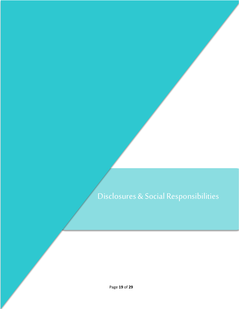## Disclosures & Social Responsibilities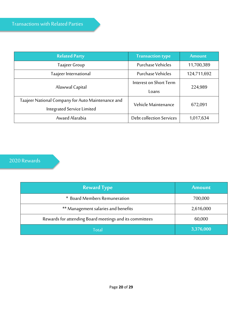| <b>Related Party</b>                              | <b>Transaction type</b>  | <b>Amount</b> |  |
|---------------------------------------------------|--------------------------|---------------|--|
| Taajeer Group                                     | Purchase Vehicles        | 11,700,389    |  |
| Taajeer International                             | <b>Purchase Vehicles</b> | 124,711,692   |  |
| Alawwal Capital                                   | Interest on Short Term   | 224,989       |  |
|                                                   | Loans                    |               |  |
| Taajeer National Company for Auto Maintenance and | Vehicle Maintenance      | 672,091       |  |
| <b>Integrated Service Limited</b>                 |                          |               |  |
| Awaed Alarabia                                    | Debt collection Services | 1,017,634     |  |

## 2020 Rewards

| <b>Reward Type</b>                                      | <b>Amount</b> |
|---------------------------------------------------------|---------------|
| * Board Members Remuneration                            | 700,000       |
| ** Management salaries and benefits                     | 2,616,000     |
| Rewards for attending Board meetings and its committees | 60,000        |
| Total                                                   | 3,376,000     |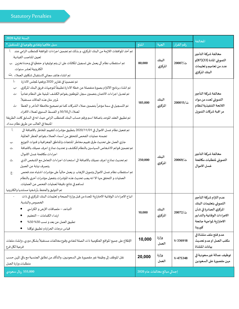| السنة المالية 2020                                                                                                                                                                                                                                                                                                                                                                                                                                                                                                                                                                                                                                                                                                                                                                        | المخالفة                      |                   |                   |                                                                                                                                                    |
|-------------------------------------------------------------------------------------------------------------------------------------------------------------------------------------------------------------------------------------------------------------------------------------------------------------------------------------------------------------------------------------------------------------------------------------------------------------------------------------------------------------------------------------------------------------------------------------------------------------------------------------------------------------------------------------------------------------------------------------------------------------------------------------------|-------------------------------|-------------------|-------------------|----------------------------------------------------------------------------------------------------------------------------------------------------|
| سبل علاجها وتفادى وقوعها في المستقبل *                                                                                                                                                                                                                                                                                                                                                                                                                                                                                                                                                                                                                                                                                                                                                    | المبلغ                        | الجهة             | رقم القرار        |                                                                                                                                                    |
| تم أخذ الموافقات اللازمة من البنك المركزي، و بذلك تم تضمين اجراءات الموافقة كمتطلب الزامي عند [1].<br>تعيين المناصب القيادية.<br>تم استقطاب نظام آلي يعمل على تسجيل المكالمات على ان يتم توثيقها و حفظها في وحدة تخزين دب<br>الكترونية لعشر سنوات.<br>تم انشاء هاتف مجاني لاستقبال شكاوى العملاء .ت                                                                                                                                                                                                                                                                                                                                                                                                                                                                                       | 80,000                        | البنك<br>المركزي  | ت/20007           | مخالفة شركة التأجير<br>التمويلي المادة (33)(87)و<br>عدد من تعاميم و تعليمات<br>البنك المركزي                                                       |
| $\tilde{1}$<br>تم تضمينها في تقارير 2020 ورفعها لمجلس الادارة<br>تم انشاء برنامج الالتزام بصورة منفصلة عن خطة الادارة تطبيقاً لتوجيهات فربق البنك المركزي.     -ب<br>تم تعديل اجراءات الائتمان بتضمين سجل الموظفين بقوائم الكشف المبنية على النظام تفادياً محت<br>لمرور مثل هذه الحالات مستقبلاً.<br>تم التسجيل في سمة مؤخراً بتضمين عملاء الشركات كما تم تصحيح ملاحظة التأخر و الخطأ      -ث<br>لعملاء ال50/50 و القسط السنوي لعملاء الافراد.<br>تم تطبيق العقد الموحد باضافة اسم ورقم حساب البنك كمتطلب الزامي حيث انه في السابق كانت الطريقة<br>المتبعة في الغالب عن طريق نظام سداد.                                                                                                                                                                                                   | 185,000                       | البنك<br>المركزي  | ت/200015          | مخالفة شركة التأجير<br>التمويلى لعدد من مواد<br>اللائحة التنفيذية لنظام<br>مر اقبة شركات التموبل                                                   |
| $\mathbf{I}$<br>تم تفعيل نظام غسل الاموال في 11/01/01 بتطبيق مؤشرات لتقييم المخاطر بالاضافة الى<br>تضمنه عمليات الفحص للتحقق من أسماء العملاء بقوائم الحظر العالمية.<br>جاري العمل على تحديث طرق تقييم مخاطر المنتجات والمناطق الجغرافية و قنوات التوزيع<br>.پ<br>تم تضمين قوائم الاشخاص السياسين بالنظام للكشف و تحديث نماذج اعرف عميلك بالاضافة<br>.ت<br>اجراءات مكافحة غسل الاموال.<br>تم تحديث نماذج اعرف عميلك بالاضافة الى استحداث اجراءات التعامل مع الشخص الذي<br>ث.<br>يتصرف نيابة عن العميل<br>تم استقطاب نظام غسل الاموال وتمويل الارهاب و يعمل حالياً على مؤشرات اشتباه عند فحص<br>جح<br>العمليات و التحقق منها الا انه يجب تحديث هذه المؤشرات بتفعيل مؤشرات أخرى بالنظام<br>تساهم في نتائج دقيقة لعمليات الفحص عن العمليات.<br>تم التوثيق والحفظ بأرشفتها مستنديا والكترونيا | 250,000                       | البنك<br>المركزي  | ت/20069           | مخالفة شركة التأجير<br>التموبلى لمتطلبات مكافحة<br>غسل الاموال                                                                                     |
| اتباع الاجراءات الوقائية الاحترازية المعدة من قبل وزارة الصحة و تعليمات البنك المركزي في ذات<br>الخصوص والبلدية.<br>التباعد – ملصاقات الارض و الكراسي ●<br>ارتداء الكمامات - التعقيم<br>تطبيق العمل عن بعد و نسب 50% 50%<br>قياس درجات الحرارة وتطبيق توكلنا<br>$\bullet$                                                                                                                                                                                                                                                                                                                                                                                                                                                                                                                 | 10,000                        | المغاب<br>المركزي | $20072/\ddot{}$ ت | عدم التزام شركة التأجير<br>التموبلى بتعليمات البنك<br>المركزي الصادرة في شأن<br>الاجراءات الوقائية والتدابير<br>الاحترازبة لمواجهة جائحة<br>كورونا |
| الإطلاع على جميع المواقع الحكومية ذات الصلة لتفادي وقوع مخالفات مستقبلاً بشكل دوري، وإنشاء ملفات<br>فرعية لكل فرع                                                                                                                                                                                                                                                                                                                                                                                                                                                                                                                                                                                                                                                                         | 10,000                        | وزارة<br>العمل    | $V - 336918$      | عدم فتح ملف منشاة في<br>مكتب العمل اوعدم تحديث<br>بيانات المنشاة                                                                                   |
| نقل الموظف إلى وظيفة غير مقصورة على السعوديين، والتأكد من تطابق الجنسية مع باقي المهن حسب<br>متطلبات وزارة العمل                                                                                                                                                                                                                                                                                                                                                                                                                                                                                                                                                                                                                                                                          | 20,000                        | وزارة<br>العمل    | $V-475348$        | توظيف عمالة غيرسعودية في<br>مهن مقصورة على السعودين                                                                                                |
| 555,000 ريال سعودي                                                                                                                                                                                                                                                                                                                                                                                                                                                                                                                                                                                                                                                                                                                                                                        | إجمالي مبالغ مخالفات عام 2020 |                   |                   |                                                                                                                                                    |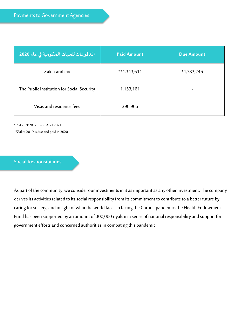| المدفوعات للجهات الحكومية في عام 2020 <mark>.</mark> | <b>Paid Amount</b> | <b>Due Amount</b> |
|------------------------------------------------------|--------------------|-------------------|
| Zakat and tax                                        | $**4,343,611$      | $*4,783,246$      |
| The Public Institution for Social Security           | 1,153,161          |                   |
| Visas and residence fees                             | 290,966            |                   |

\* Zakat 2020 is due in April 2021 \*\*Zakat 2019 is due and paid in 2020

#### Social Responsibilities

As part of the community, we consider our investments in it as important as any other investment. The company derives its activities related to its social responsibility from its commitment to contribute to a better future by caring for society, and in light of what the world faces in facing the Corona pandemic, the Health Endowment Fund has been supported by an amount of 300,000 riyals in a sense of national responsibility and support for government efforts and concerned authorities in combating this pandemic.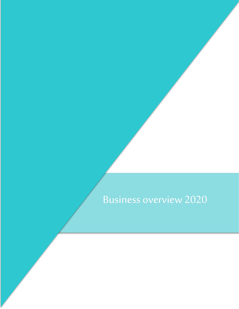## Business overview 2020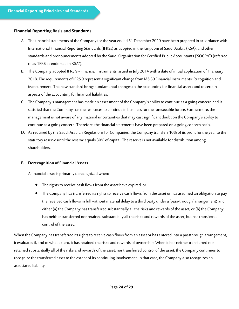#### **Financial Reporting Basis and Standards**

- A. The financial statements of the Company for the year ended 31 December 2020 have been prepared in accordance with International Financial Reporting Standards (IFRSs) as adopted in the Kingdom of Saudi Arabia (KSA), and other standards and pronouncements adopted by the Saudi Organization for Certified Public Accountants ('SOCPA") (referred to as "IFRS as endorsed in KSA").
- B. The Company adopted IFRS 9 Financial Instruments issued in July 2014 with a date of initial application of 1 January 2018. The requirements of IFRS 9 represent a significant change from IAS 39 Financial Instruments: Recognition and Measurement. The new standard brings fundamental changes to the accounting for financial assets and to certain aspects of the accounting for financial liabilities.
- C. The Company's management has made an assessment of the Company's ability to continue as a going concern and is satisfied that the Company has the resources to continue in business for the foreseeable future. Furthermore, the management is not aware of any material uncertainties that may cast significant doubt on the Company's ability to continue as a going concern. Therefore, the financial statements have been prepared on a going concern basis.
- D. As required by the Saudi Arabian Regulations for Companies, the Company transfers 10% of its profit for the year to the statutory reserve until the reserve equals 30% of capital. The reserve is not available for distribution among shareholders.

#### **E. Derecognition of Financial Assets**

A financial asset is primarily derecognized when:

- The rights to receive cash flows from the asset have expired, or
- The Company has transferred its rights to receive cash flows from the asset or has assumed an obligation to pay the received cash flows in full without material delay to a third party under a 'pass-through' arrangement; and either (a) the Company has transferred substantially all the risks and rewards of the asset, or (b) the Company has neither transferred nor retained substantially all the risks and rewards of the asset, but has transferred control of the asset.

When the Company has transferred its rights to receive cash flows from an asset or has entered into a passthrough arrangement, it evaluates if, and to what extent, it has retained the risks and rewards of ownership. When it has neither transferred nor retained substantially all of the risks and rewards of the asset, nor transferred control of the asset, the Company continues to recognize the transferred asset to the extent of its continuing involvement. In that case, the Company also recognizes an associated liability.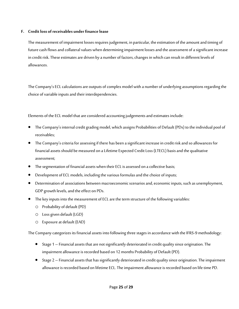#### **F. Credit loss of receivables under finance lease**

The measurement of impairment losses requires judgement, in particular, the estimation of the amount and timing of future cash flows and collateral values when determining impairment losses and the assessment of a significant increase in credit risk. These estimates are driven by a number of factors, changes in which can result in different levels of allowances.

The Company's ECL calculations are outputs of complex model with a number of underlying assumptions regarding the choice of variable inputs and their interdependencies.

Elements of the ECL model that are considered accounting judgements and estimates include:

- The Company's internal credit grading model, which assigns Probabilities of Default (PDs) to the individual pool of receivables;
- The Company's criteria for assessing if there has been a significant increase in credit risk and so allowances for financial assets should be measured on a Lifetime Expected Credit Loss (LTECL) basis and the qualitative assessment;
- The segmentation of financial assets when their ECL is assessed on a collective basis;
- Development of ECL models, including the various formulas and the choice of inputs;
- Determination of associations between macroeconomic scenarios and, economic inputs, such as unemployment, GDP growth levels, and the effect on PDs.
- The key inputs into the measurement of ECL are the term structure of the following variables:
	- o Probability of default (PD)
	- o Loss given default (LGD)
	- o Exposure at default (EAD)

The Company categorizes its financial assets into following three stages in accordance with the IFRS-9 methodology:

- Stage 1 Financial assets that are not significantly deteriorated in credit quality since origination. The impairment allowance is recorded based on 12 months Probability of Default (PD).
- Stage 2 Financial assets that has significantly deteriorated in credit quality since origination. The impairment allowance is recorded based on lifetime ECL. The impairment allowance is recorded based on life time PD.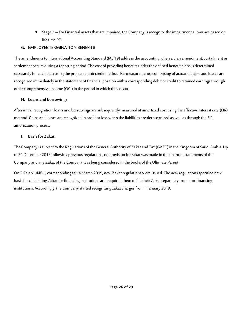• Stage 3 – For Financial assets that are impaired, the Company is recognize the impairment allowance based on life time PD.

#### **G. EMPLOYEE TERMINATION BENEFITS**

The amendments to International Accounting Standard (IAS 19) address the accounting when a plan amendment, curtailment or settlement occurs during a reporting period. The cost of providing benefits under the defined benefit plans is determined separately for each plan using the projected unit credit method. Re-measurements, comprising of actuarial gains and losses are recognized immediately in the statement of financial position with a corresponding debit or credit to retained earnings through other comprehensive income (OCI) in the period in which they occur.

#### **H. Loans and borrowings**

After initial recognition, loans and borrowings are subsequently measured at amortized cost using the effective interest rate (EIR) method. Gains and losses are recognized in profit or loss when the liabilities are derecognized as well as through the EIR amortization process.

#### **I. Basis for Zakat:**

The Company is subject to the Regulations of the General Authority of Zakat and Tax (GAZT) in the Kingdom of Saudi Arabia. Up to 31 December 2018 following previous regulations, no provision for zakat was made in the financial statements of the Company and any Zakat of the Company was being considered in the books of the Ultimate Parent.

On 7 Rajab 1440H, corresponding to 14 March 2019, new Zakat regulations were issued. The new regulations specified new basis for calculating Zakat for financing institutions and required them to file their Zakat separately from non-financing institutions. Accordingly, the Company started recognizing zakat charges from 1 January 2019.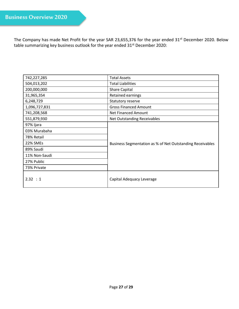The Company has made Net Profit for the year SAR 23,655,376 for the year ended 31<sup>st</sup> December 2020. Below table summarizing key business outlook for the year ended 31<sup>st</sup> December 2020:

| 742,227,285   | <b>Total Assets</b>                                       |  |
|---------------|-----------------------------------------------------------|--|
| 504,013,202   | <b>Total Liabilities</b>                                  |  |
| 200,000,000   | <b>Share Capital</b>                                      |  |
| 31,965,354    | Retained earnings                                         |  |
| 6,248,729     | Statutory reserve                                         |  |
| 1,096,727,831 | <b>Gross Financed Amount</b>                              |  |
| 741,208,568   | Net Financed Amount                                       |  |
| 551,879,930   | Net Outstanding Receivables                               |  |
| 97% Ijara     |                                                           |  |
| 03% Murabaha  | Business Segmentation as % of Net Outstanding Receivables |  |
| 78% Retail    |                                                           |  |
| 22% SMEs      |                                                           |  |
| 89% Saudi     |                                                           |  |
| 11% Non-Saudi |                                                           |  |
| 27% Public    |                                                           |  |
| 73% Private   |                                                           |  |
| 2.32 : 1      | Capital Adequacy Leverage                                 |  |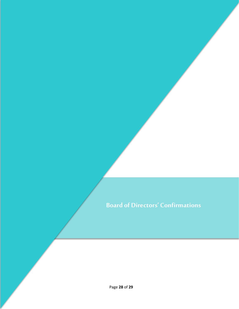## **Board of Directors' Confirmations**